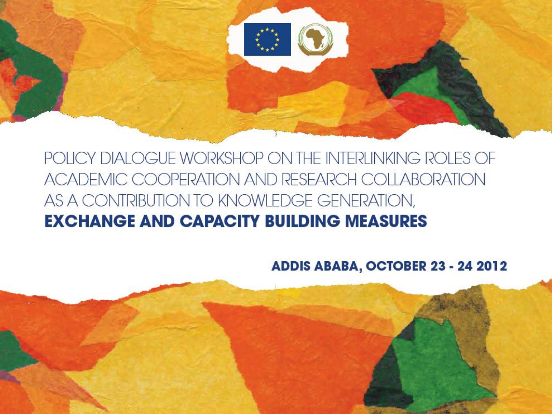

ADDIS ABABA, OCTOBER 23 - 24 2012

# **EXCHANGE AND CAPACITY BUILDING MEASURES**

POLICY DIALOGUE WORKSHOP ON THE INTERLINKING ROLES OF ACADEMIC COOPERATION AND RESEARCH COLLABORATION AS A CONTRIBUTION TO KNOWLEDGE GENERATION,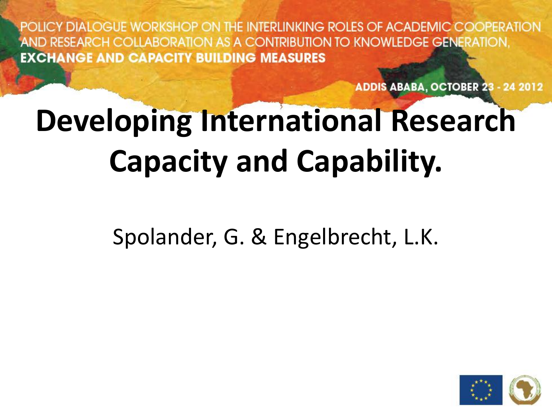ADDIS ABABA, OCTOBER 23 - 24 2012

# **Developing International Research Capacity and Capability.**

Spolander, G. & Engelbrecht, L.K.

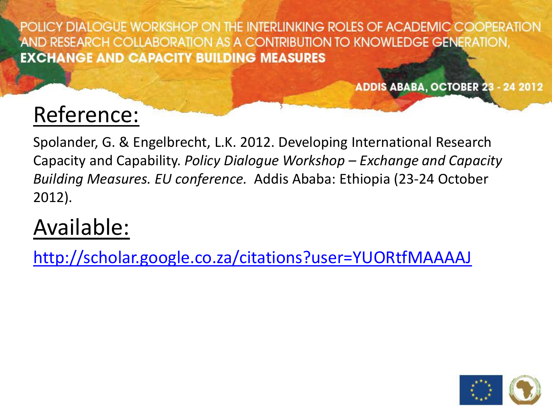ADDIS ABABA, OCTOBER 23 - 24 2012

## Reference:

Spolander, G. & Engelbrecht, L.K. 2012. Developing International Research Capacity and Capability. *Policy Dialogue Workshop – Exchange and Capacity Building Measures. EU conference.* Addis Ababa: Ethiopia (23-24 October 2012).

### Available:

<http://scholar.google.co.za/citations?user=YUORtfMAAAAJ>

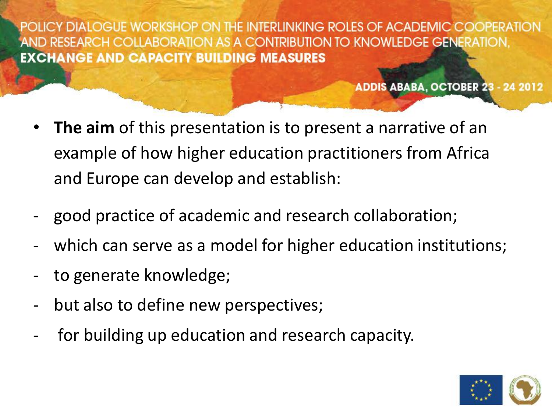- **The aim** of this presentation is to present a narrative of an example of how higher education practitioners from Africa and Europe can develop and establish:
- good practice of academic and research collaboration;
- which can serve as a model for higher education institutions;
- to generate knowledge;
- but also to define new perspectives;
- for building up education and research capacity.

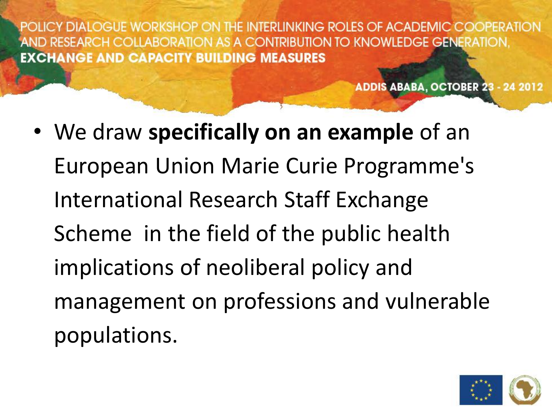ADDIS ABABA, OCTOBER 23 - 24 2012

• We draw **specifically on an example** of an European Union Marie Curie Programme's International Research Staff Exchange Scheme in the field of the public health implications of neoliberal policy and management on professions and vulnerable populations.

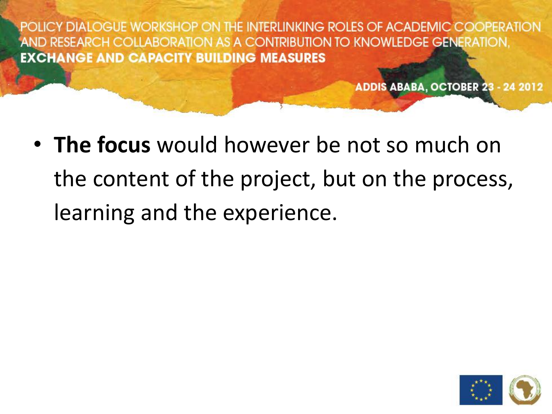ADDIS ABABA, OCTOBER 23 - 24 2012

• **The focus** would however be not so much on the content of the project, but on the process, learning and the experience.

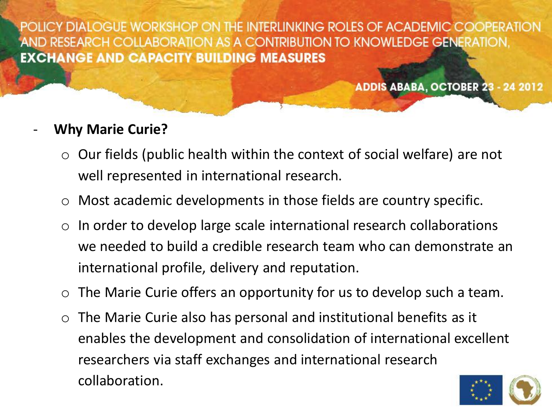ADDIS ABABA, OCTOBER 23 - 24 2012

#### - **Why Marie Curie?**

- $\circ$  Our fields (public health within the context of social welfare) are not well represented in international research.
- o Most academic developments in those fields are country specific.
- $\circ$  In order to develop large scale international research collaborations we needed to build a credible research team who can demonstrate an international profile, delivery and reputation.
- $\circ$  The Marie Curie offers an opportunity for us to develop such a team.
- $\circ$  The Marie Curie also has personal and institutional benefits as it enables the development and consolidation of international excellent researchers via staff exchanges and international research collaboration.

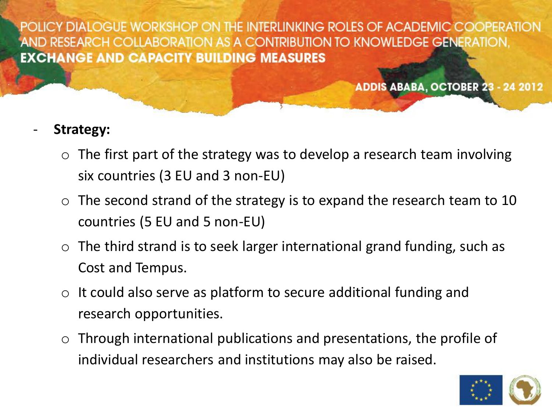ADDIS ABABA, OCTOBER 23 - 24 2012

#### - **Strategy:**

- $\circ$  The first part of the strategy was to develop a research team involving six countries (3 EU and 3 non-EU)
- $\circ$  The second strand of the strategy is to expand the research team to 10 countries (5 EU and 5 non-EU)
- $\circ$  The third strand is to seek larger international grand funding, such as Cost and Tempus.
- $\circ$  It could also serve as platform to secure additional funding and research opportunities.
- $\circ$  Through international publications and presentations, the profile of individual researchers and institutions may also be raised.

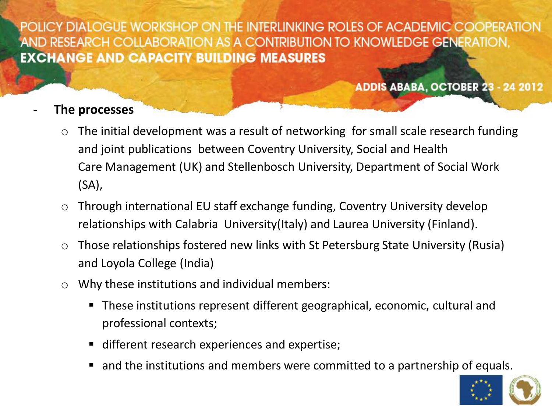ADDIS ABABA, OCTOBER 23 - 24 2012

#### - **The processes**

- $\circ$  The initial development was a result of networking for small scale research funding and joint publications between Coventry University, Social and Health Care Management (UK) and Stellenbosch University, Department of Social Work (SA),
- o Through international EU staff exchange funding, Coventry University develop relationships with Calabria University(Italy) and Laurea University (Finland).
- o Those relationships fostered new links with St Petersburg State University (Rusia) and Loyola College (India)
- o Why these institutions and individual members:
	- These institutions represent different geographical, economic, cultural and professional contexts;
	- different research experiences and expertise;
	- and the institutions and members were committed to a partnership of equals.

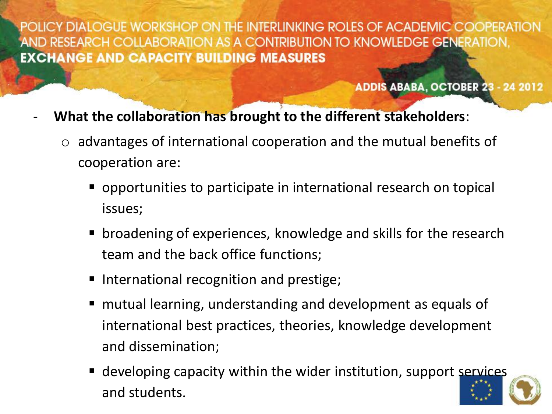- **What the collaboration has brought to the different stakeholders**:
	- $\circ$  advantages of international cooperation and the mutual benefits of cooperation are:
		- opportunities to participate in international research on topical issues;
		- broadening of experiences, knowledge and skills for the research team and the back office functions;
		- International recognition and prestige;
		- mutual learning, understanding and development as equals of international best practices, theories, knowledge development and dissemination;
		- **E** developing capacity within the wider institution, support services and students.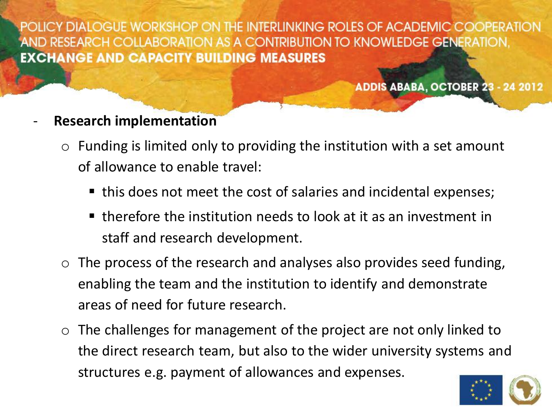ADDIS ABABA, OCTOBER 23 - 24 2012

#### - **Research implementation**

- $\circ$  Funding is limited only to providing the institution with a set amount of allowance to enable travel:
	- this does not meet the cost of salaries and incidental expenses;
	- $\blacksquare$  therefore the institution needs to look at it as an investment in staff and research development.
- $\circ$  The process of the research and analyses also provides seed funding, enabling the team and the institution to identify and demonstrate areas of need for future research.
- $\circ$  The challenges for management of the project are not only linked to the direct research team, but also to the wider university systems and structures e.g. payment of allowances and expenses.

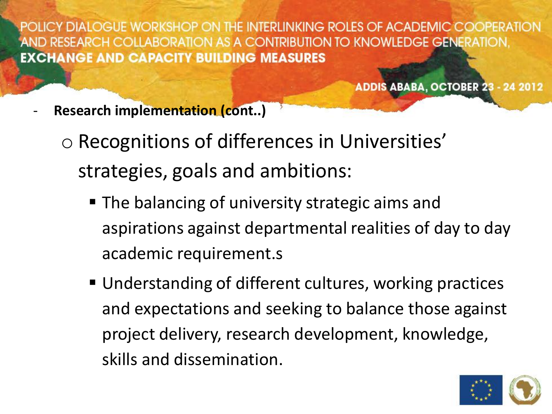- **Research implementation (cont..)**
	- o Recognitions of differences in Universities' strategies, goals and ambitions:
		- The balancing of university strategic aims and aspirations against departmental realities of day to day academic requirement.s
		- Understanding of different cultures, working practices and expectations and seeking to balance those against project delivery, research development, knowledge, skills and dissemination.

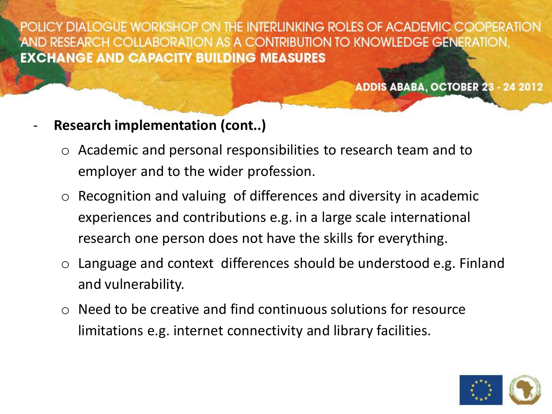- **Research implementation (cont..)**
	- o Academic and personal responsibilities to research team and to employer and to the wider profession.
	- o Recognition and valuing of differences and diversity in academic experiences and contributions e.g. in a large scale international research one person does not have the skills for everything.
	- $\circ$  Language and context differences should be understood e.g. Finland and vulnerability.
	- o Need to be creative and find continuous solutions for resource limitations e.g. internet connectivity and library facilities.

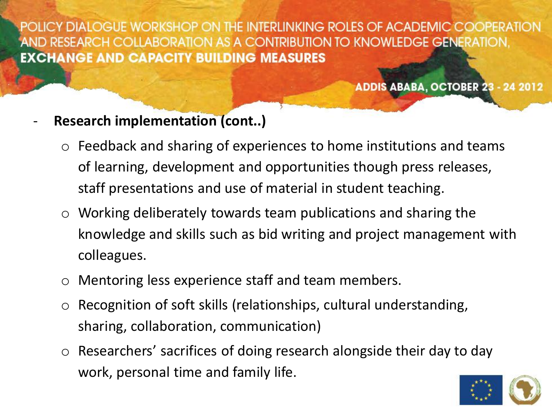- **Research implementation (cont..)**
	- $\circ$  Feedback and sharing of experiences to home institutions and teams of learning, development and opportunities though press releases, staff presentations and use of material in student teaching.
	- $\circ$  Working deliberately towards team publications and sharing the knowledge and skills such as bid writing and project management with colleagues.
	- o Mentoring less experience staff and team members.
	- o Recognition of soft skills (relationships, cultural understanding, sharing, collaboration, communication)
	- o Researchers' sacrifices of doing research alongside their day to day work, personal time and family life.

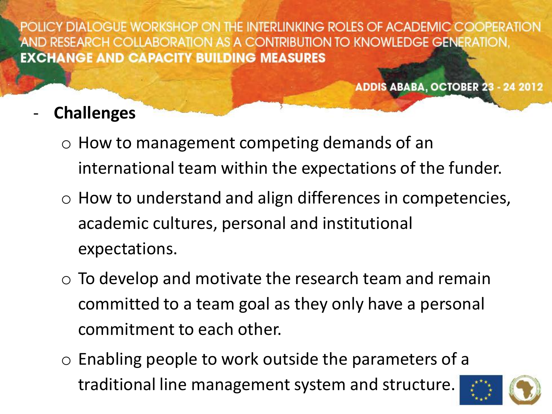- **Challenges** 
	- o How to management competing demands of an international team within the expectations of the funder.
	- o How to understand and align differences in competencies, academic cultures, personal and institutional expectations.
	- $\circ$  To develop and motivate the research team and remain committed to a team goal as they only have a personal commitment to each other.
	- o Enabling people to work outside the parameters of a traditional line management system and structure.